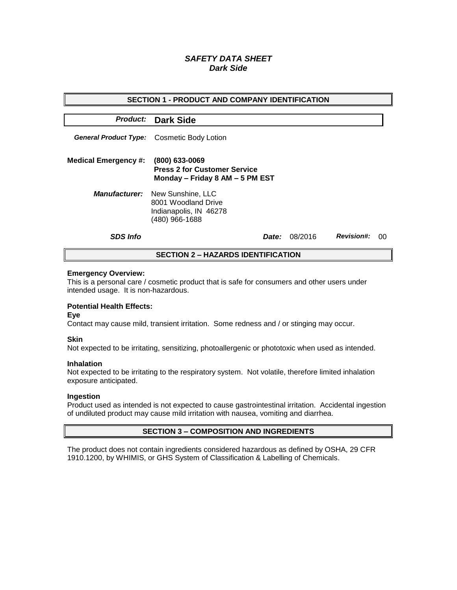# *SAFETY DATA SHEET Dark Side*

| <b>SECTION 1 - PRODUCT AND COMPANY IDENTIFICATION</b> |                                                                                                           |       |         |                   |    |  |
|-------------------------------------------------------|-----------------------------------------------------------------------------------------------------------|-------|---------|-------------------|----|--|
|                                                       | <b>Product: Dark Side</b>                                                                                 |       |         |                   |    |  |
| <b>General Product Type:</b>                          | Cosmetic Body Lotion                                                                                      |       |         |                   |    |  |
| <b>Medical Emergency #:</b>                           | (800) 633-0069<br><b>Press 2 for Customer Service</b><br>Monday - Friday 8 AM - 5 PM EST                  |       |         |                   |    |  |
|                                                       | <b>Manufacturer:</b> New Sunshine, LLC<br>8001 Woodland Drive<br>Indianapolis, IN 46278<br>(480) 966-1688 |       |         |                   |    |  |
| <b>SDS Info</b>                                       |                                                                                                           | Date: | 08/2016 | <b>Revision#:</b> | 00 |  |
| <b>SECTION 2 - HAZARDS IDENTIFICATION</b>             |                                                                                                           |       |         |                   |    |  |

### **Emergency Overview:**

This is a personal care / cosmetic product that is safe for consumers and other users under intended usage. It is non-hazardous.

## **Potential Health Effects:**

**Eye**

Contact may cause mild, transient irritation. Some redness and / or stinging may occur.

#### **Skin**

Not expected to be irritating, sensitizing, photoallergenic or phototoxic when used as intended.

#### **Inhalation**

Not expected to be irritating to the respiratory system. Not volatile, therefore limited inhalation exposure anticipated.

#### **Ingestion**

Product used as intended is not expected to cause gastrointestinal irritation. Accidental ingestion of undiluted product may cause mild irritation with nausea, vomiting and diarrhea.

### **SECTION 3 – COMPOSITION AND INGREDIENTS**

The product does not contain ingredients considered hazardous as defined by OSHA, 29 CFR 1910.1200, by WHIMIS, or GHS System of Classification & Labelling of Chemicals.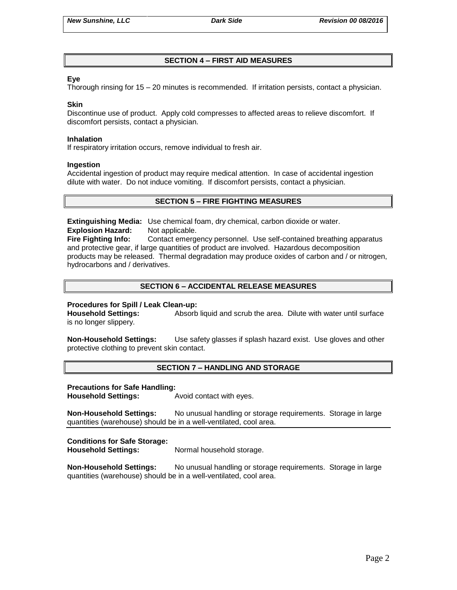## **SECTION 4 – FIRST AID MEASURES**

## **Eye**

Thorough rinsing for 15 – 20 minutes is recommended. If irritation persists, contact a physician.

### **Skin**

Discontinue use of product. Apply cold compresses to affected areas to relieve discomfort. If discomfort persists, contact a physician.

### **Inhalation**

If respiratory irritation occurs, remove individual to fresh air.

### **Ingestion**

Accidental ingestion of product may require medical attention. In case of accidental ingestion dilute with water. Do not induce vomiting. If discomfort persists, contact a physician.

## **SECTION 5 – FIRE FIGHTING MEASURES**

**Extinguishing Media:** Use chemical foam, dry chemical, carbon dioxide or water. **Explosion Hazard:** Not applicable.

**Fire Fighting Info:** Contact emergency personnel. Use self-contained breathing apparatus and protective gear, if large quantities of product are involved. Hazardous decomposition products may be released. Thermal degradation may produce oxides of carbon and / or nitrogen, hydrocarbons and / derivatives.

## **SECTION 6 – ACCIDENTAL RELEASE MEASURES**

### **Procedures for Spill / Leak Clean-up:**

**Household Settings:** Absorb liquid and scrub the area. Dilute with water until surface is no longer slippery.

**Non-Household Settings:** Use safety glasses if splash hazard exist. Use gloves and other protective clothing to prevent skin contact.

### **SECTION 7 – HANDLING AND STORAGE**

### **Precautions for Safe Handling:**

**Household Settings:** Avoid contact with eyes.

**Non-Household Settings:** No unusual handling or storage requirements. Storage in large quantities (warehouse) should be in a well-ventilated, cool area.

## **Conditions for Safe Storage:**

**Household Settings:** Normal household storage.

**Non-Household Settings:** No unusual handling or storage requirements. Storage in large quantities (warehouse) should be in a well-ventilated, cool area.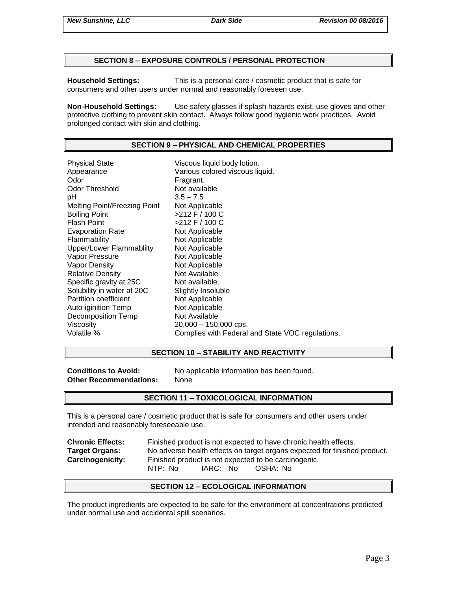## **SECTION 8 – EXPOSURE CONTROLS / PERSONAL PROTECTION**

**Household Settings:** This is a personal care / cosmetic product that is safe for consumers and other users under normal and reasonably foreseen use.

**Non-Household Settings:** Use safety glasses if splash hazards exist, use gloves and other protective clothing to prevent skin contact. Always follow good hygienic work practices. Avoid prolonged contact with skin and clothing.

### **SECTION 9 – PHYSICAL AND CHEMICAL PROPERTIES**

Physical State Viscous liquid body lotion. Appearance **Various colored viscous liquid.**<br>
Odor Communication Colore Fragrant. Odor Threshold Not available pH 3.5 – 7.5 Melting Point/Freezing Point Not Applicable Boiling Point >212 F / 100 C Flash Point  $>212$  F / 100 C Evaporation Rate Not Applicable Flammability Not Applicable Upper/Lower Flammablilty Not Applicable Vapor Pressure Not Applicable Vapor Density Not Applicable Relative Density Not Available Specific gravity at 25C Not available. Solubility in water at 20C Slightly Insoluble<br>
Partition coefficient
Subsetted Not Applicable Partition coefficient Auto-iginition Temp Not Applicable Decomposition Temp Not Available Viscosity 20,000 – 150,000 cps. Volatile % Complies with Federal and State VOC regulations.

### **SECTION 10 – STABILITY AND REACTIVITY**

**Other Recommendations:** None

**Conditions to Avoid:** No applicable information has been found.

### **SECTION 11 – TOXICOLOGICAL INFORMATION**

This is a personal care / cosmetic product that is safe for consumers and other users under intended and reasonably foreseeable use.

**Chronic Effects:** Finished product is not expected to have chronic health effects. **Target Organs:** No adverse health effects on target organs expected for finished product. **Carcinogenicity:** Finished product is not expected to be carcinogenic. NTP: No IARC: No OSHA: No

### **SECTION 12 – ECOLOGICAL INFORMATION**

The product ingredients are expected to be safe for the environment at concentrations predicted under normal use and accidental spill scenarios.